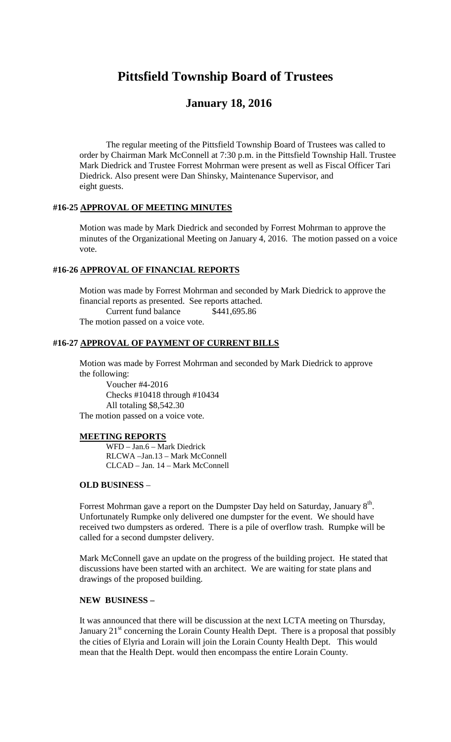# **Pittsfield Township Board of Trustees**

## **January 18, 2016**

The regular meeting of the Pittsfield Township Board of Trustees was called to order by Chairman Mark McConnell at 7:30 p.m. in the Pittsfield Township Hall. Trustee Mark Diedrick and Trustee Forrest Mohrman were present as well as Fiscal Officer Tari Diedrick. Also present were Dan Shinsky, Maintenance Supervisor, and eight guests.

#### **#16-25 APPROVAL OF MEETING MINUTES**

Motion was made by Mark Diedrick and seconded by Forrest Mohrman to approve the minutes of the Organizational Meeting on January 4, 2016. The motion passed on a voice vote.

#### **#16-26 APPROVAL OF FINANCIAL REPORTS**

Motion was made by Forrest Mohrman and seconded by Mark Diedrick to approve the financial reports as presented. See reports attached. Current fund balance \$441,695.86 The motion passed on a voice vote.

### **#16-27 APPROVAL OF PAYMENT OF CURRENT BILLS**

Motion was made by Forrest Mohrman and seconded by Mark Diedrick to approve the following:

Voucher #4-2016 Checks #10418 through #10434 All totaling \$8,542.30 The motion passed on a voice vote.

#### **MEETING REPORTS**

WFD – Jan.6 – Mark Diedrick RLCWA –Jan.13 – Mark McConnell CLCAD – Jan. 14 – Mark McConnell

#### **OLD BUSINESS** –

Forrest Mohrman gave a report on the Dumpster Day held on Saturday, January  $8^{\rm th}$ . Unfortunately Rumpke only delivered one dumpster for the event. We should have received two dumpsters as ordered. There is a pile of overflow trash. Rumpke will be called for a second dumpster delivery.

Mark McConnell gave an update on the progress of the building project. He stated that discussions have been started with an architect. We are waiting for state plans and drawings of the proposed building.

#### **NEW BUSINESS –**

It was announced that there will be discussion at the next LCTA meeting on Thursday, January  $21<sup>st</sup>$  concerning the Lorain County Health Dept. There is a proposal that possibly the cities of Elyria and Lorain will join the Lorain County Health Dept. This would mean that the Health Dept. would then encompass the entire Lorain County.